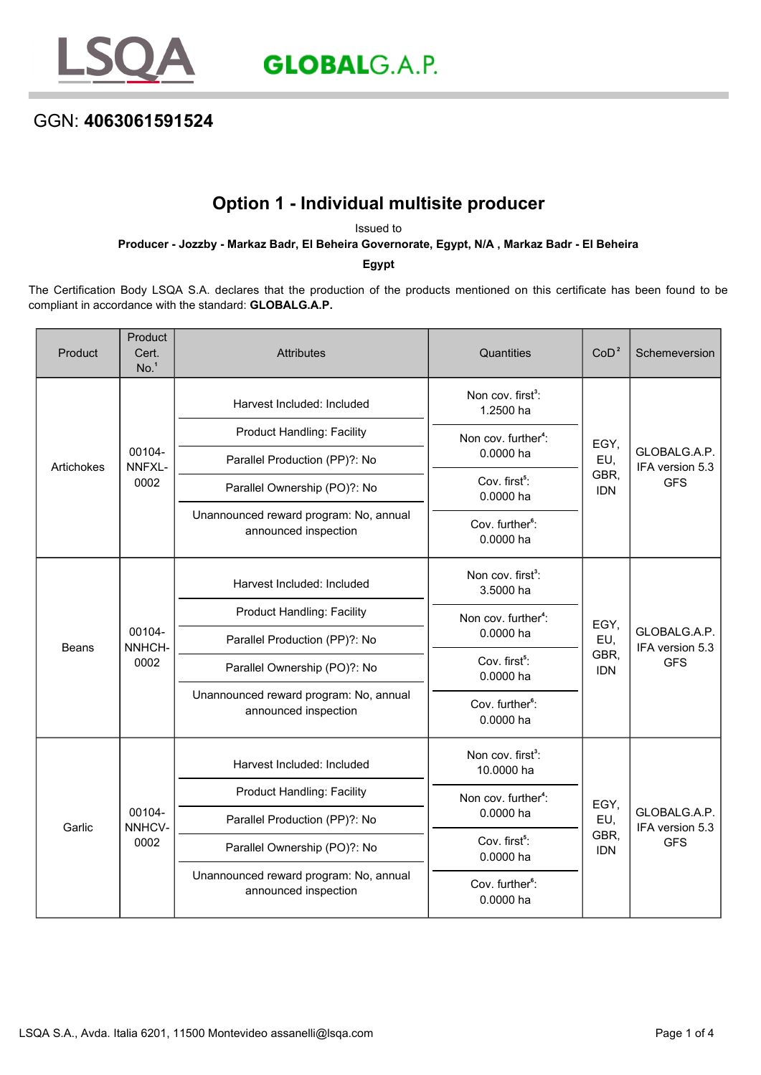

**GLOBAL**G.A.P.

## GGN: **4063061591524**

## **Option 1 - Individual multisite producer**

Issued to **Producer - Jozzby - Markaz Badr, El Beheira Governorate, Egypt, N/A , Markaz Badr - El Beheira**

**Egypt**

The Certification Body LSQA S.A. declares that the production of the products mentioned on this certificate has been found to be compliant in accordance with the standard: **GLOBALG.A.P.**

| Product      | Product<br>Cert.<br>No. <sup>1</sup> | <b>Attributes</b>                                              | Quantities                                   | CoD <sup>2</sup>                                                                                                                                                        | Schemeversion                                 |
|--------------|--------------------------------------|----------------------------------------------------------------|----------------------------------------------|-------------------------------------------------------------------------------------------------------------------------------------------------------------------------|-----------------------------------------------|
| Artichokes   | 00104-<br>NNFXL-<br>0002             | Harvest Included: Included                                     | Non cov. first <sup>3</sup> :<br>1.2500 ha   | EGY,<br>EU,<br>GBR,<br><b>IDN</b>                                                                                                                                       | GLOBALG.A.P.<br>IFA version 5.3<br><b>GFS</b> |
|              |                                      | <b>Product Handling: Facility</b>                              | Non cov. further <sup>4</sup> :<br>0.0000 ha |                                                                                                                                                                         |                                               |
|              |                                      | Parallel Production (PP)?: No                                  |                                              |                                                                                                                                                                         |                                               |
|              |                                      | Parallel Ownership (PO)?: No                                   | Cov. first <sup>5</sup> :<br>0.0000 ha       |                                                                                                                                                                         |                                               |
|              |                                      | Unannounced reward program: No, annual<br>announced inspection | Cov. further <sup>6</sup> :<br>0.0000 ha     |                                                                                                                                                                         |                                               |
| <b>Beans</b> | 00104-<br>NNHCH-<br>0002             | Harvest Included: Included                                     | Non cov. first <sup>3</sup> :<br>3.5000 ha   | EGY,<br>EU,<br>GBR,<br><b>IDN</b>                                                                                                                                       | GLOBALG.A.P.<br>IFA version 5.3<br><b>GFS</b> |
|              |                                      | <b>Product Handling: Facility</b>                              | Non cov. further <sup>4</sup> :<br>0.0000 ha |                                                                                                                                                                         |                                               |
|              |                                      | Parallel Production (PP)?: No                                  |                                              |                                                                                                                                                                         |                                               |
|              |                                      | Parallel Ownership (PO)?: No                                   | Cov. first <sup>5</sup> :<br>0.0000 ha       |                                                                                                                                                                         |                                               |
|              |                                      | Unannounced reward program: No, annual<br>announced inspection | Cov. further <sup>6</sup> :<br>0.0000 ha     |                                                                                                                                                                         |                                               |
| Garlic       | 00104-<br>NNHCV-<br>0002             | Harvest Included: Included                                     | Non cov. first <sup>3</sup> :<br>10.0000 ha  | Non cov. further <sup>4</sup> :<br>EGY,<br>0.0000 ha<br>EU,<br>GBR,<br>Cov. first <sup>5</sup> :<br><b>IDN</b><br>0.0000 ha<br>Cov. further <sup>6</sup> :<br>0.0000 ha | GLOBALG.A.P.<br>IFA version 5.3<br><b>GFS</b> |
|              |                                      | <b>Product Handling: Facility</b>                              |                                              |                                                                                                                                                                         |                                               |
|              |                                      | Parallel Production (PP)?: No                                  |                                              |                                                                                                                                                                         |                                               |
|              |                                      | Parallel Ownership (PO)?: No                                   |                                              |                                                                                                                                                                         |                                               |
|              |                                      | Unannounced reward program: No, annual<br>announced inspection |                                              |                                                                                                                                                                         |                                               |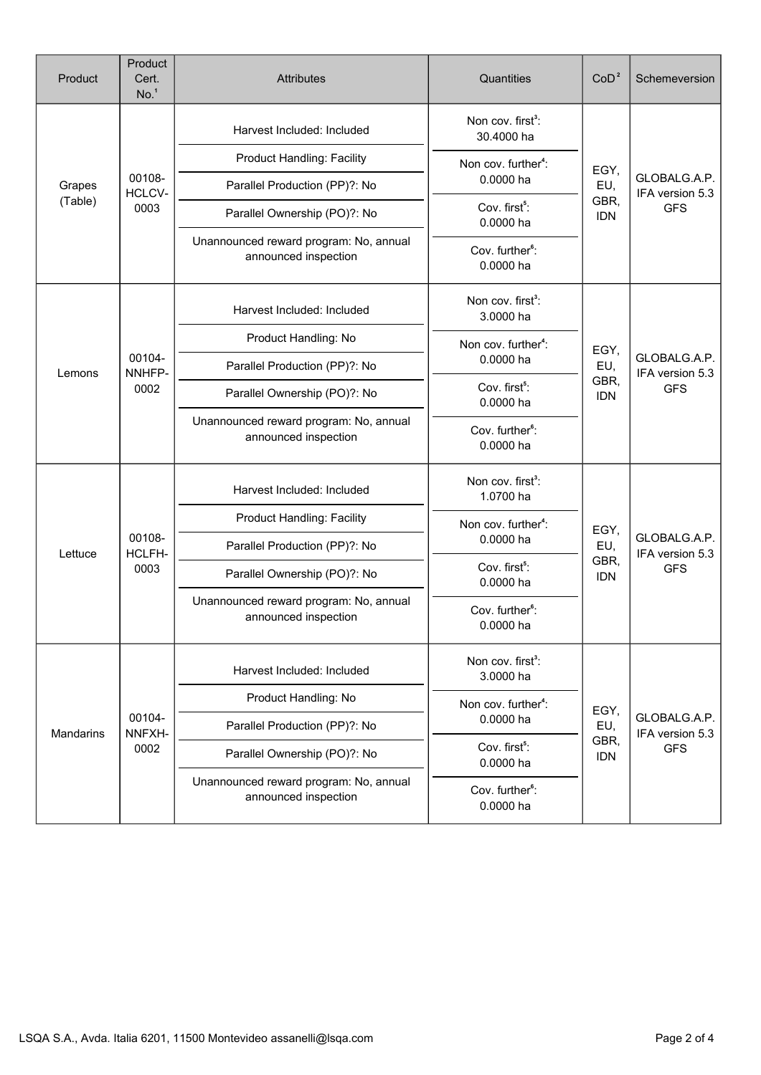| Product           | Product<br>Cert.<br>No. <sup>1</sup> | <b>Attributes</b>                                              | Quantities                                                                             | CoD <sup>2</sup>                  | Schemeversion                                 |
|-------------------|--------------------------------------|----------------------------------------------------------------|----------------------------------------------------------------------------------------|-----------------------------------|-----------------------------------------------|
| Grapes<br>(Table) | 00108-<br>HCLCV-<br>0003             | Harvest Included: Included                                     | Non cov. first <sup>3</sup> :<br>30.4000 ha                                            | EGY,<br>EU,<br>GBR,<br><b>IDN</b> | GLOBALG.A.P.<br>IFA version 5.3<br><b>GFS</b> |
|                   |                                      | <b>Product Handling: Facility</b>                              | Non cov. further <sup>4</sup> :                                                        |                                   |                                               |
|                   |                                      | Parallel Production (PP)?: No                                  | 0.0000 ha                                                                              |                                   |                                               |
|                   |                                      | Parallel Ownership (PO)?: No                                   | Cov. first <sup>5</sup> :<br>0.0000 ha                                                 |                                   |                                               |
|                   |                                      | Unannounced reward program: No, annual<br>announced inspection | Cov. further <sup>6</sup> :<br>0.0000 ha                                               |                                   |                                               |
| Lemons            | 00104-<br>NNHFP-<br>0002             | Harvest Included: Included                                     | Non cov. first <sup>3</sup> :<br>3.0000 ha                                             | EGY,<br>EU,<br>GBR,<br><b>IDN</b> | GLOBALG.A.P.<br>IFA version 5.3<br><b>GFS</b> |
|                   |                                      | Product Handling: No                                           | Non cov. further <sup>4</sup> :                                                        |                                   |                                               |
|                   |                                      | Parallel Production (PP)?: No                                  | 0.0000 ha                                                                              |                                   |                                               |
|                   |                                      | Parallel Ownership (PO)?: No                                   | Cov. first <sup>5</sup> :<br>0.0000 ha                                                 |                                   |                                               |
|                   |                                      | Unannounced reward program: No, annual<br>announced inspection | Cov. further <sup>6</sup> :<br>0.0000 ha                                               |                                   |                                               |
|                   | 00108-<br>HCLFH-<br>0003             | Harvest Included: Included                                     | Non cov. first <sup>3</sup> :<br>1.0700 ha                                             | EGY,<br>EU,<br>GBR,<br><b>IDN</b> | GLOBALG.A.P.<br>IFA version 5.3<br><b>GFS</b> |
|                   |                                      | <b>Product Handling: Facility</b>                              | Non cov. further <sup>4</sup> :<br>0.0000 ha                                           |                                   |                                               |
| Lettuce           |                                      | Parallel Production (PP)?: No                                  |                                                                                        |                                   |                                               |
|                   |                                      | Parallel Ownership (PO)?: No                                   | Cov. first <sup>5</sup> :<br>0.0000 ha                                                 |                                   |                                               |
|                   |                                      | Unannounced reward program: No, annual<br>announced inspection | Cov. further <sup>6</sup> :<br>0.0000 ha                                               |                                   |                                               |
| Mandarins         | 00104-<br>NNFXH-<br>0002             | Harvest Included: Included                                     | Non cov. first <sup>3</sup> :<br>3.0000 ha                                             | EGY,<br>EU,<br>GBR,<br><b>IDN</b> | GLOBALG.A.P.<br>IFA version 5.3<br><b>GFS</b> |
|                   |                                      | Product Handling: No                                           | Non cov. further <sup>4</sup> :<br>0.0000 ha<br>Cov. first <sup>5</sup> :<br>0.0000 ha |                                   |                                               |
|                   |                                      | Parallel Production (PP)?: No                                  |                                                                                        |                                   |                                               |
|                   |                                      | Parallel Ownership (PO)?: No                                   |                                                                                        |                                   |                                               |
|                   |                                      | Unannounced reward program: No, annual<br>announced inspection | Cov. further <sup>6</sup> :<br>0.0000 ha                                               |                                   |                                               |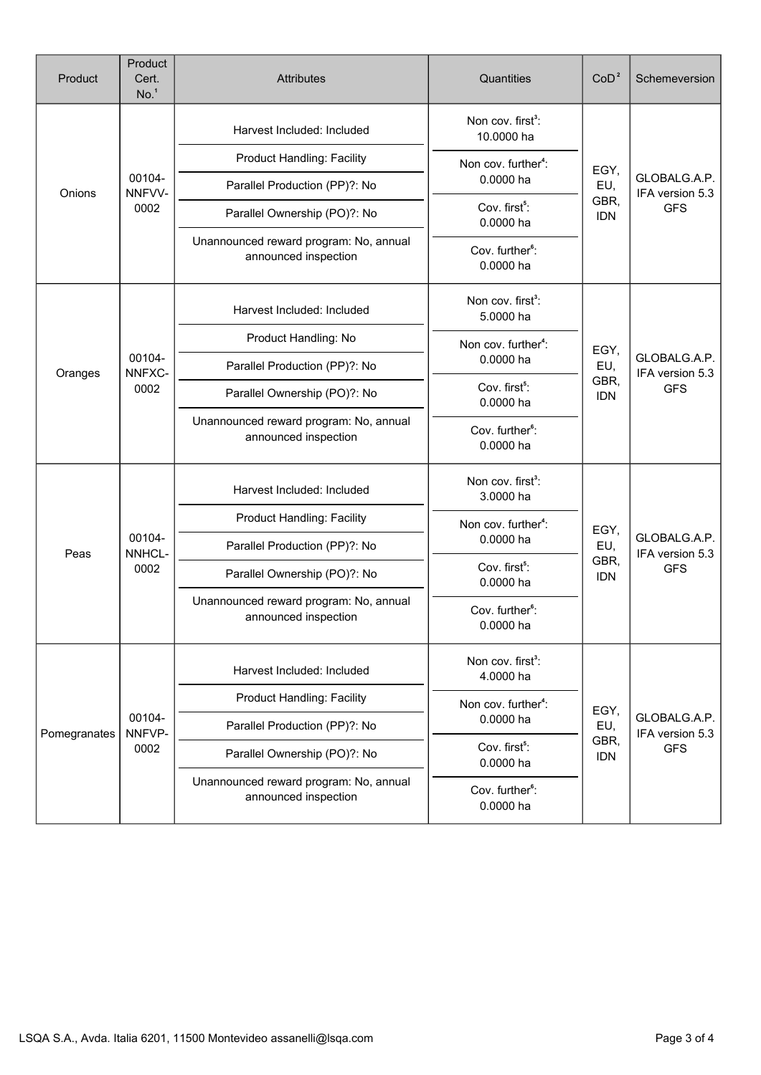| Product      | Product<br>Cert.<br>No. <sup>1</sup> | <b>Attributes</b>                                              | Quantities                                                                                                   | CoD <sup>2</sup>                  | Schemeversion                                 |
|--------------|--------------------------------------|----------------------------------------------------------------|--------------------------------------------------------------------------------------------------------------|-----------------------------------|-----------------------------------------------|
| Onions       | 00104-<br>NNFVV-<br>0002             | Harvest Included: Included                                     | Non cov. first <sup>3</sup> :<br>10.0000 ha                                                                  |                                   | GLOBALG.A.P.<br>IFA version 5.3<br><b>GFS</b> |
|              |                                      | <b>Product Handling: Facility</b>                              | Non cov. further <sup>4</sup> :                                                                              | EGY,                              |                                               |
|              |                                      | Parallel Production (PP)?: No                                  | 0.0000 ha                                                                                                    | EU,<br>GBR,<br><b>IDN</b>         |                                               |
|              |                                      | Parallel Ownership (PO)?: No                                   | Cov. first <sup>5</sup> :<br>0.0000 ha                                                                       |                                   |                                               |
|              |                                      | Unannounced reward program: No, annual<br>announced inspection | Cov. further <sup>6</sup> :<br>0.0000 ha                                                                     |                                   |                                               |
| Oranges      | 00104-<br>NNFXC-<br>0002             | Harvest Included: Included                                     | Non cov. first <sup>3</sup> :<br>5.0000 ha                                                                   | EGY,<br>EU,<br>GBR,<br><b>IDN</b> | GLOBALG.A.P.<br>IFA version 5.3<br><b>GFS</b> |
|              |                                      | Product Handling: No                                           | Non cov. further <sup>4</sup> :                                                                              |                                   |                                               |
|              |                                      | Parallel Production (PP)?: No                                  | 0.0000 ha                                                                                                    |                                   |                                               |
|              |                                      | Parallel Ownership (PO)?: No                                   | Cov. first <sup>5</sup> :<br>0.0000 ha                                                                       |                                   |                                               |
|              |                                      | Unannounced reward program: No, annual<br>announced inspection | Cov. further <sup>6</sup> :<br>0.0000 ha                                                                     |                                   |                                               |
|              | 00104-<br>NNHCL-<br>0002             | Harvest Included: Included                                     | Non cov. first <sup>3</sup> :<br>3.0000 ha                                                                   | EGY,<br>EU,<br>GBR,<br><b>IDN</b> | GLOBALG.A.P.<br>IFA version 5.3<br><b>GFS</b> |
|              |                                      | Product Handling: Facility                                     | Non cov. further <sup>4</sup> :<br>0.0000 ha                                                                 |                                   |                                               |
| Peas         |                                      | Parallel Production (PP)?: No                                  |                                                                                                              |                                   |                                               |
|              |                                      | Parallel Ownership (PO)?: No                                   | Cov. first <sup>5</sup> :<br>0.0000 ha                                                                       |                                   |                                               |
|              |                                      | Unannounced reward program: No, annual<br>announced inspection | Cov. further <sup>6</sup> :<br>0.0000 ha                                                                     |                                   |                                               |
| Pomegranates | 00104-<br>NNFVP-<br>0002             | Harvest Included: Included                                     | Non cov. first <sup>3</sup> :<br>4.0000 ha                                                                   | EGY,<br>EU,                       | GLOBALG.A.P.<br>IFA version 5.3               |
|              |                                      | <b>Product Handling: Facility</b>                              | Non cov. further <sup>4</sup> :<br>0.0000 ha<br>GBR,<br>Cov. first <sup>5</sup> :<br><b>IDN</b><br>0.0000 ha |                                   |                                               |
|              |                                      | Parallel Production (PP)?: No                                  |                                                                                                              |                                   |                                               |
|              |                                      | Parallel Ownership (PO)?: No                                   |                                                                                                              | <b>GFS</b>                        |                                               |
|              |                                      | Unannounced reward program: No, annual<br>announced inspection | Cov. further <sup>6</sup> :<br>0.0000 ha                                                                     |                                   |                                               |